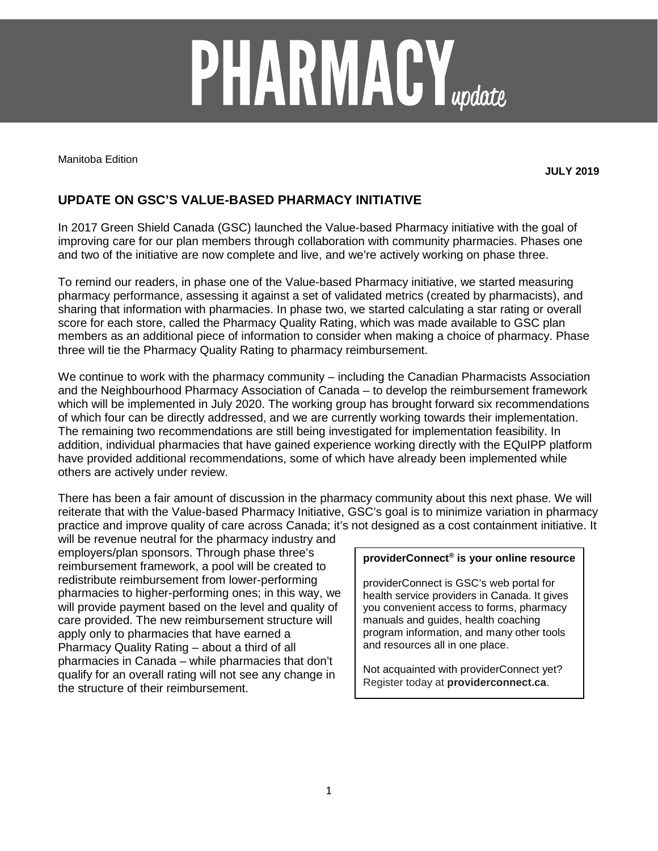# **PHARMACY**<sub>update</sub>

Manitoba Edition

**JULY 2019**

# **UPDATE ON GSC'S VALUE-BASED PHARMACY INITIATIVE**

In 2017 Green Shield Canada (GSC) launched the Value-based Pharmacy initiative with the goal of improving care for our plan members through collaboration with community pharmacies. Phases one and two of the initiative are now complete and live, and we're actively working on phase three.

To remind our readers, in phase one of the Value-based Pharmacy initiative, we started measuring pharmacy performance, assessing it against a set of validated metrics (created by pharmacists), and sharing that information with pharmacies. In phase two, we started calculating a star rating or overall score for each store, called the Pharmacy Quality Rating, which was made available to GSC plan members as an additional piece of information to consider when making a choice of pharmacy. Phase three will tie the Pharmacy Quality Rating to pharmacy reimbursement.

We continue to work with the pharmacy community – including the Canadian Pharmacists Association and the Neighbourhood Pharmacy Association of Canada – to develop the reimbursement framework which will be implemented in July 2020. The working group has brought forward six recommendations of which four can be directly addressed, and we are currently working towards their implementation. The remaining two recommendations are still being investigated for implementation feasibility. In addition, individual pharmacies that have gained experience working directly with the EQuIPP platform have provided additional recommendations, some of which have already been implemented while others are actively under review.

There has been a fair amount of discussion in the pharmacy community about this next phase. We will reiterate that with the Value-based Pharmacy Initiative, GSC's goal is to minimize variation in pharmacy practice and improve quality of care across Canada; it's not designed as a cost containment initiative. It

will be revenue neutral for the pharmacy industry and employers/plan sponsors. Through phase three's reimbursement framework, a pool will be created to redistribute reimbursement from lower-performing pharmacies to higher-performing ones; in this way, we will provide payment based on the level and quality of care provided. The new reimbursement structure will apply only to pharmacies that have earned a Pharmacy Quality Rating – about a third of all pharmacies in Canada – while pharmacies that don't qualify for an overall rating will not see any change in the structure of their reimbursement.

### **providerConnect® is your online resource**

providerConnect is GSC's web portal for health service providers in Canada. It gives you convenient access to forms, pharmacy manuals and guides, health coaching program information, and many other tools and resources all in one place.

Not acquainted with providerConnect yet? Register today at **providerconnect.ca**.